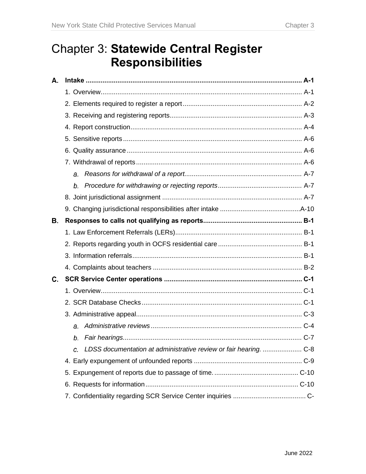# Chapter 3: **Statewide Central Register Responsibilities**

| Α. |                |
|----|----------------|
|    |                |
|    |                |
|    |                |
|    |                |
|    |                |
|    |                |
|    |                |
|    | a <sub>r</sub> |
|    | b.             |
|    |                |
|    |                |
| В. |                |
|    |                |
|    |                |
|    |                |
|    |                |
| C. |                |
|    |                |
|    |                |
|    |                |
|    | a.             |
|    | b.             |
|    | C.             |
|    |                |
|    |                |
|    |                |
|    |                |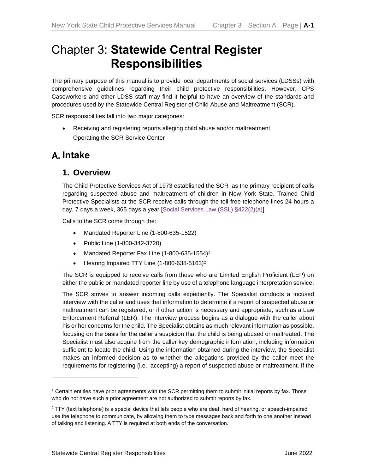# Chapter 3: **Statewide Central Register Responsibilities**

The primary purpose of this manual is to provide local departments of social services (LDSSs) with comprehensive guidelines regarding their child protective responsibilities. However, CPS Caseworkers and other LDSS staff may find it helpful to have an overview of the standards and procedures used by the Statewide Central Register of Child Abuse and Maltreatment (SCR).

SCR responsibilities fall into two major categories:

• Receiving and registering reports alleging child abuse and/or maltreatment Operating the SCR Service Center

### <span id="page-2-0"></span>**Intake**

#### <span id="page-2-1"></span>**1. Overview**

The Child Protective Services Act of 1973 established the SCR as the primary recipient of calls regarding suspected abuse and maltreatment of children in New York State. Trained Child Protective Specialists at the SCR receive calls through the toll-free telephone lines 24 hours a day, 7 days a week, 365 days a year [Social Services Law (SSL) §422(2)(a)].

Calls to the SCR come through the:

- Mandated Reporter Line (1-800-635-1522)
- Public Line (1-800-342-3720)
- Mandated Reporter Fax Line (1-800-635-1554)<sup>1</sup>
- Hearing Impaired TTY Line (1-800-638-5163)<sup>2</sup>

The SCR is equipped to receive calls from those who are Limited English Proficient (LEP) on either the public or mandated reporter line by use of a telephone language interpretation service.

The SCR strives to answer incoming calls expediently. The Specialist conducts a focused interview with the caller and uses that information to determine if a report of suspected abuse or maltreatment can be registered, or if other action is necessary and appropriate, such as a Law Enforcement Referral (LER). The interview process begins as a dialogue with the caller about his or her concerns for the child. The Specialist obtains as much relevant information as possible, focusing on the basis for the caller's suspicion that the child is being abused or maltreated. The Specialist must also acquire from the caller key demographic information, including information sufficient to locate the child. Using the information obtained during the interview, the Specialist makes an informed decision as to whether the allegations provided by the caller meet the requirements for registering (i.e., accepting) a report of suspected abuse or maltreatment. If the

<sup>1</sup> Certain entities have prior agreements with the SCR permitting them to submit initial reports by fax. Those who do not have such a prior agreement are not authorized to submit reports by fax.

 $2$  TTY (text telephone) is a special device that lets people who are deaf, hard of hearing, or speech-impaired use the telephone to communicate, by allowing them to type messages back and forth to one another instead of talking and listening. A TTY is required at both ends of the conversation.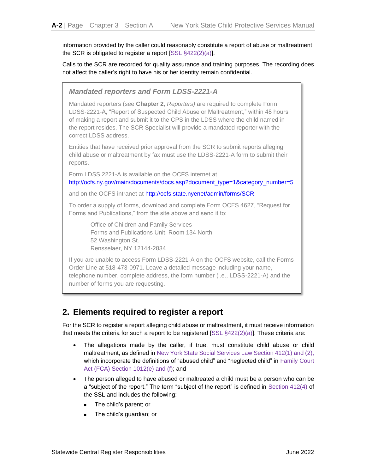information provided by the caller could reasonably constitute a report of abuse or maltreatment, the SCR is obligated to register a report [SSL §422(2)(a)].

Calls to the SCR are recorded for quality assurance and training purposes. The recording does not affect the caller's right to have his or her identity remain confidential.

*Mandated reporters and Form LDSS-2221-A* Mandated reporters (see **Chapter 2**, *Reporters)* are required to complete Form LDSS-2221-A, "Report of Suspected Child Abuse or Maltreatment," within 48 hours of making a report and submit it to the CPS in the LDSS where the child named in the report resides. The SCR Specialist will provide a mandated reporter with the correct LDSS address. Entities that have received prior approval from the SCR to submit reports alleging child abuse or maltreatment by fax must use the LDSS-2221-A form to submit their reports. Form LDSS 2221-A is available on the OCFS internet at [http://ocfs.ny.gov/main/documents/docs.asp?document\\_type=1&category\\_number=5](http://ocfs.ny.gov/main/documents/docs.asp?document_type=1&category_number=5) and on the OCFS intranet at<http://ocfs.state.nyenet/admin/forms/SCR> To order a supply of forms, download and complete Form OCFS 4627, "Request for Forms and Publications," from the site above and send it to: Office of Children and Family Services Forms and Publications Unit, Room 134 North 52 Washington St. Rensselaer, NY 12144-2834 If you are unable to access Form LDSS-2221-A on the OCFS website, call the Forms Order Line at 518-473-0971. Leave a detailed message including your name, telephone number, complete address, the form number (i.e., LDSS-2221-A) and the number of forms you are requesting.

### <span id="page-3-0"></span>**2. Elements required to register a report**

For the SCR to register a report alleging child abuse or maltreatment, it must receive information that meets the criteria for such a report to be registered  $[SSL §422(2)(a)].$  These criteria are:

- The allegations made by the caller, if true, must constitute child abuse or child maltreatment, as defined in New York State Social Services Law Section 412(1) and (2), which incorporate the definitions of "abused child" and "neglected child" in Family Court Act (FCA) Section 1012(e) and (f); and
- The person alleged to have abused or maltreated a child must be a person who can be a "subject of the report." The term "subject of the report" is defined in Section 412(4) of the SSL and includes the following:
	- The child's parent; or
	- The child's guardian; or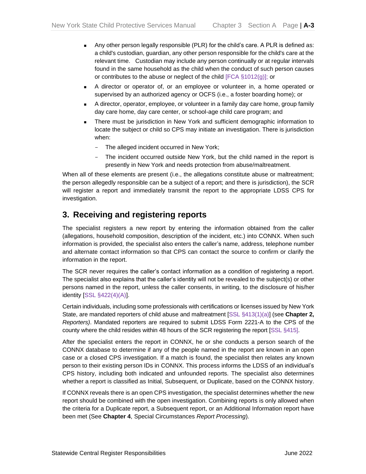- Any other person legally responsible (PLR) for the child's care. A PLR is defined as: a child's custodian, guardian, any other person responsible for the child's care at the relevant time. Custodian may include any person continually or at regular intervals found in the same household as the child when the conduct of such person causes or contributes to the abuse or neglect of the child [FCA §1012(g)]; or
- A director or operator of, or an employee or volunteer in, a home operated or supervised by an authorized agency or OCFS (i.e., a foster boarding home); or
- A director, operator, employee, or volunteer in a family day care home, group family day care home, day care center, or school-age child care program; and
- There must be jurisdiction in New York and sufficient demographic information to locate the subject or child so CPS may initiate an investigation. There is jurisdiction when:
	- The alleged incident occurred in New York;
	- The incident occurred outside New York, but the child named in the report is presently in New York and needs protection from abuse/maltreatment.

When all of these elements are present (i.e., the allegations constitute abuse or maltreatment; the person allegedly responsible can be a subject of a report; and there is jurisdiction), the SCR will register a report and immediately transmit the report to the appropriate LDSS CPS for investigation.

### <span id="page-4-0"></span>**3. Receiving and registering reports**

The specialist registers a new report by entering the information obtained from the caller (allegations, household composition, description of the incident, etc.) into CONNX. When such information is provided, the specialist also enters the caller's name, address, telephone number and alternate contact information so that CPS can contact the source to confirm or clarify the information in the report.

The SCR never requires the caller's contact information as a condition of registering a report. The specialist also explains that the caller's identity will not be revealed to the subject(s) or other persons named in the report, unless the caller consents, in writing, to the disclosure of his/her identity [SSL §422(4)(A)].

Certain individuals, including some professionals with certifications or licenses issued by New York State, are mandated reporters of child abuse and maltreatment [SSL §413(1)(a)] (see **Chapter 2,**  *Reporters)*. Mandated reporters are required to submit LDSS Form 2221-A to the CPS of the county where the child resides within 48 hours of the SCR registering the report [SSL §415].

After the specialist enters the report in CONNX, he or she conducts a person search of the CONNX database to determine if any of the people named in the report are known in an open case or a closed CPS investigation. If a match is found, the specialist then relates any known person to their existing person IDs in CONNX. This process informs the LDSS of an individual's CPS history, including both indicated and unfounded reports. The specialist also determines whether a report is classified as Initial, Subsequent, or Duplicate, based on the CONNX history.

If CONNX reveals there is an open CPS investigation, the specialist determines whether the new report should be combined with the open investigation. Combining reports is only allowed when the criteria for a Duplicate report, a Subsequent report, or an Additional Information report have been met (See **Chapter 4**, Special Circumstances *Report Processing*).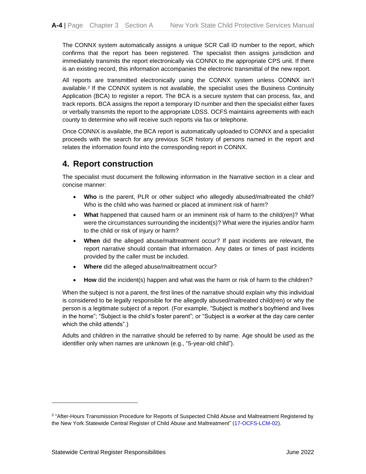The CONNX system automatically assigns a unique SCR Call ID number to the report, which confirms that the report has been registered. The specialist then assigns jurisdiction and immediately transmits the report electronically via CONNX to the appropriate CPS unit. If there is an existing record, this information accompanies the electronic transmittal of the new report.

All reports are transmitted electronically using the CONNX system unless CONNX isn't available. 3 If the CONNX system is not available, the specialist uses the Business Continuity Application (BCA) to register a report. The BCA is a secure system that can process, fax, and track reports. BCA assigns the report a temporary ID number and then the specialist either faxes or verbally transmits the report to the appropriate LDSS. OCFS maintains agreements with each county to determine who will receive such reports via fax or telephone.

Once CONNX is available, the BCA report is automatically uploaded to CONNX and a specialist proceeds with the search for any previous SCR history of persons named in the report and relates the information found into the corresponding report in CONNX.

### <span id="page-5-0"></span>**4. Report construction**

The specialist must document the following information in the Narrative section in a clear and concise manner:

- **Who** is the parent, PLR or other subject who allegedly abused/maltreated the child? Who is the child who was harmed or placed at imminent risk of harm?
- **What** happened that caused harm or an imminent risk of harm to the child(ren)? What were the circumstances surrounding the incident(s)? What were the injuries and/or harm to the child or risk of injury or harm?
- **When** did the alleged abuse/maltreatment occur? If past incidents are relevant, the report narrative should contain that information. Any dates or times of past incidents provided by the caller must be included.
- **Where** did the alleged abuse/maltreatment occur?
- **How** did the incident(s) happen and what was the harm or risk of harm to the children?

When the subject is not a parent, the first lines of the narrative should explain why this individual is considered to be legally responsible for the allegedly abused/maltreated child(ren) or why the person is a legitimate subject of a report. (For example, "Subject is mother's boyfriend and lives in the home"; "Subject is the child's foster parent"; or "Subject is a worker at the day care center which the child attends".)

Adults and children in the narrative should be referred to by name. Age should be used as the identifier only when names are unknown (e.g., "5-year-old child").

<sup>&</sup>lt;sup>3</sup> "After-Hours Transmission Procedure for Reports of Suspected Child Abuse and Maltreatment Registered by the New York Statewide Central Register of Child Abuse and Maltreatment" (17-OCFS-LCM-02).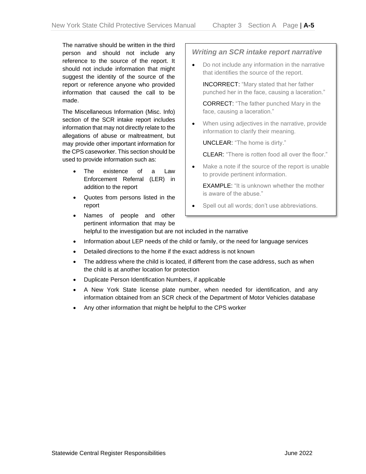The narrative should be written in the third person and should not include any reference to the source of the report. It should not include information that might suggest the identity of the source of the report or reference anyone who provided information that caused the call to be made.

The Miscellaneous Information (Misc. Info) section of the SCR intake report includes information that may not directly relate to the allegations of abuse or maltreatment, but may provide other important information for the CPS caseworker. This section should be used to provide information such as:

- The existence of a Law Enforcement Referral (LER) in addition to the report
- Quotes from persons listed in the report

#### *Writing an SCR intake report narrative*

• Do not include any information in the narrative that identifies the source of the report.

INCORRECT: "Mary stated that her father punched her in the face, causing a laceration."

CORRECT: "The father punched Mary in the face, causing a laceration."

• When using adjectives in the narrative, provide information to clarify their meaning.

UNCLEAR: "The home is dirty."

CLEAR: "There is rotten food all over the floor."

• Make a note if the source of the report is unable to provide pertinent information.

EXAMPLE: "It is unknown whether the mother is aware of the abuse."

- Spell out all words; don't use abbreviations.
- Names of people and other pertinent information that may be helpful to the investigation but are not included in the narrative
- Information about LEP needs of the child or family, or the need for language services
- Detailed directions to the home if the exact address is not known
- The address where the child is located, if different from the case address, such as when the child is at another location for protection
- Duplicate Person Identification Numbers, if applicable
- A New York State license plate number, when needed for identification, and any information obtained from an SCR check of the Department of Motor Vehicles database
- Any other information that might be helpful to the CPS worker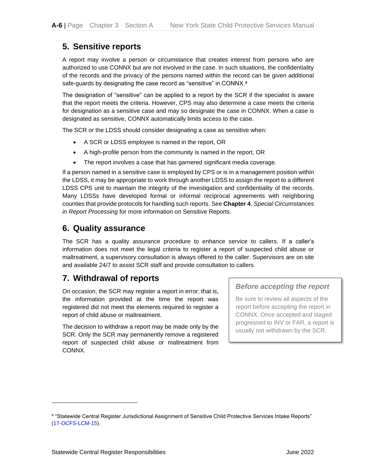### <span id="page-7-0"></span>**5. Sensitive reports**

A report may involve a person or circumstance that creates interest from persons who are authorized to use CONNX but are not involved in the case. In such situations, the confidentiality of the records and the privacy of the persons named within the record can be given additional safe-guards by designating the case record as "sensitive" in CONNX.**<sup>4</sup>**

The designation of "sensitive" can be applied to a report by the SCR if the specialist is aware that the report meets the criteria. However, CPS may also determine a case meets the criteria for designation as a sensitive case and may so designate the case in CONNX. When a case is designated as sensitive, CONNX automatically limits access to the case.

The SCR or the LDSS should consider designating a case as sensitive when:

- A SCR or LDSS employee is named in the report, OR
- A high-profile person from the community is named in the report, OR
- The report involves a case that has garnered significant media coverage.

If a person named in a sensitive case is employed by CPS or is in a management position within the LDSS, it may be appropriate to work through another LDSS to assign the report to a different LDSS CPS unit to maintain the integrity of the investigation and confidentiality of the records. Many LDSSs have developed formal or informal reciprocal agreements with neighboring counties that provide protocols for handling such reports. See **Chapter 4**, *Special Circumstances in Report Processing* for more information on Sensitive Reports.

### <span id="page-7-1"></span>**6. Quality assurance**

The SCR has a quality assurance procedure to enhance service to callers. If a caller's information does not meet the legal criteria to register a report of suspected child abuse or maltreatment, a supervisory consultation is always offered to the caller. Supervisors are on site and available 24/7 to assist SCR staff and provide consultation to callers.

### <span id="page-7-2"></span>**7. Withdrawal of reports**

On occasion, the SCR may register a report in error; that is, the information provided at the time the report was registered did not meet the elements required to register a report of child abuse or maltreatment.

The decision to withdraw a report may be made only by the SCR. Only the SCR may permanently remove a registered report of suspected child abuse or maltreatment from CONNX.

#### *Before accepting the report*

Be sure to review all aspects of the report before accepting the report in CONNX. Once accepted and staged progressed to INV or FAR, a report is usually not withdrawn by the SCR.

<sup>4</sup> "Statewide Central Register Jurisdictional Assignment of Sensitive Child Protective Services Intake Reports" (17-OCFS-LCM-15).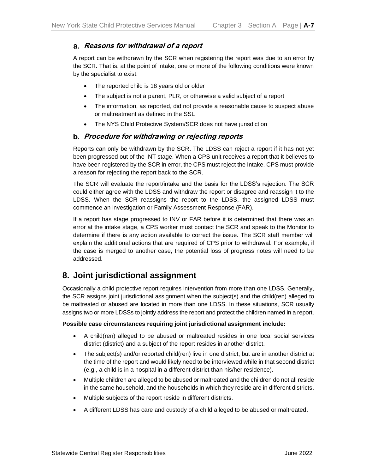#### <span id="page-8-0"></span>**Reasons for withdrawal of a report**

A report can be withdrawn by the SCR when registering the report was due to an error by the SCR. That is, at the point of intake, one or more of the following conditions were known by the specialist to exist:

- The reported child is 18 years old or older
- The subject is not a parent, PLR, or otherwise a valid subject of a report
- The information, as reported, did not provide a reasonable cause to suspect abuse or maltreatment as defined in the SSL
- The NYS Child Protective System/SCR does not have jurisdiction

#### <span id="page-8-1"></span>**Procedure for withdrawing or rejecting reports**

Reports can only be withdrawn by the SCR. The LDSS can reject a report if it has not yet been progressed out of the INT stage. When a CPS unit receives a report that it believes to have been registered by the SCR in error, the CPS must reject the Intake. CPS must provide a reason for rejecting the report back to the SCR.

The SCR will evaluate the report/intake and the basis for the LDSS's rejection. The SCR could either agree with the LDSS and withdraw the report or disagree and reassign it to the LDSS. When the SCR reassigns the report to the LDSS, the assigned LDSS must commence an investigation or Family Assessment Response (FAR).

If a report has stage progressed to INV or FAR before it is determined that there was an error at the intake stage, a CPS worker must contact the SCR and speak to the Monitor to determine if there is any action available to correct the issue. The SCR staff member will explain the additional actions that are required of CPS prior to withdrawal. For example, if the case is merged to another case, the potential loss of progress notes will need to be addressed.

### <span id="page-8-2"></span>**8. Joint jurisdictional assignment**

Occasionally a child protective report requires intervention from more than one LDSS. Generally, the SCR assigns joint jurisdictional assignment when the subject(s) and the child(ren) alleged to be maltreated or abused are located in more than one LDSS. In these situations, SCR usually assigns two or more LDSSs to jointly address the report and protect the children named in a report.

#### **Possible case circumstances requiring joint jurisdictional assignment include:**

- A child(ren) alleged to be abused or maltreated resides in one local social services district (district) and a subject of the report resides in another district.
- The subject(s) and/or reported child(ren) live in one district, but are in another district at the time of the report and would likely need to be interviewed while in that second district (e.g., a child is in a hospital in a different district than his/her residence).
- Multiple children are alleged to be abused or maltreated and the children do not all reside in the same household, and the households in which they reside are in different districts.
- Multiple subjects of the report reside in different districts.
- A different LDSS has care and custody of a child alleged to be abused or maltreated.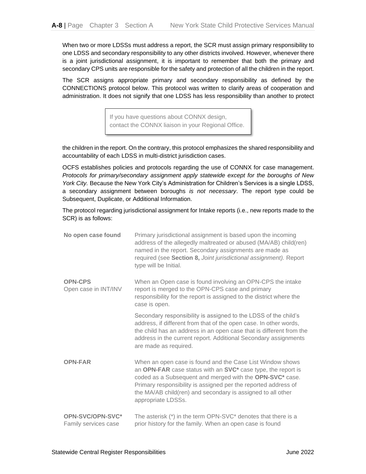When two or more LDSSs must address a report, the SCR must assign primary responsibility to one LDSS and secondary responsibility to any other districts involved. However, whenever there is a joint jurisdictional assignment, it is important to remember that both the primary and secondary CPS units are responsible for the safety and protection of all the children in the report.

The SCR assigns appropriate primary and secondary responsibility as defined by the CONNECTIONS protocol below. This protocol was written to clarify areas of cooperation and administration. It does not signify that one LDSS has less responsibility than another to protect

> If you have questions about CONNX design, contact the CONNX liaison in your Regional Office.

the children in the report. On the contrary, this protocol emphasizes the shared responsibility and accountability of each LDSS in multi-district jurisdiction cases.

OCFS establishes policies and protocols regarding the use of CONNX for case management. *Protocols for primary/secondary assignment apply statewide except for the boroughs of New York City.* Because the New York City's Administration for Children's Services is a single LDSS, a secondary assignment between boroughs *is not necessary*. The report type could be Subsequent, Duplicate, or Additional Information.

The protocol regarding jurisdictional assignment for Intake reports (i.e., new reports made to the SCR) is as follows:

| No open case found                       | Primary jurisdictional assignment is based upon the incoming<br>address of the allegedly maltreated or abused (MA/AB) child(ren)<br>named in the report. Secondary assignments are made as<br>required (see Section 8, Joint jurisdictional assignment). Report<br>type will be Initial.                                                     |
|------------------------------------------|----------------------------------------------------------------------------------------------------------------------------------------------------------------------------------------------------------------------------------------------------------------------------------------------------------------------------------------------|
| <b>OPN-CPS</b><br>Open case in INT/INV   | When an Open case is found involving an OPN-CPS the intake<br>report is merged to the OPN-CPS case and primary<br>responsibility for the report is assigned to the district where the<br>case is open.                                                                                                                                       |
|                                          | Secondary responsibility is assigned to the LDSS of the child's<br>address, if different from that of the open case. In other words,<br>the child has an address in an open case that is different from the<br>address in the current report. Additional Secondary assignments<br>are made as required.                                      |
| <b>OPN-FAR</b>                           | When an open case is found and the Case List Window shows<br>an OPN-FAR case status with an SVC* case type, the report is<br>coded as a Subsequent and merged with the OPN-SVC* case.<br>Primary responsibility is assigned per the reported address of<br>the MA/AB child(ren) and secondary is assigned to all other<br>appropriate LDSSs. |
| OPN-SVC/OPN-SVC*<br>Family services case | The asterisk (*) in the term OPN-SVC* denotes that there is a<br>prior history for the family. When an open case is found                                                                                                                                                                                                                    |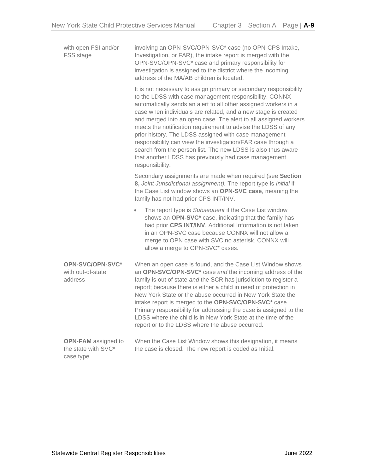| with open FSI and/or<br>FSS stage                              | involving an OPN-SVC/OPN-SVC* case (no OPN-CPS Intake,<br>Investigation, or FAR), the intake report is merged with the<br>OPN-SVC/OPN-SVC <sup>*</sup> case and primary responsibility for<br>investigation is assigned to the district where the incoming<br>address of the MA/AB children is located.                                                                                                                                                                                                                                                                                                                                                                |
|----------------------------------------------------------------|------------------------------------------------------------------------------------------------------------------------------------------------------------------------------------------------------------------------------------------------------------------------------------------------------------------------------------------------------------------------------------------------------------------------------------------------------------------------------------------------------------------------------------------------------------------------------------------------------------------------------------------------------------------------|
|                                                                | It is not necessary to assign primary or secondary responsibility<br>to the LDSS with case management responsibility. CONNX<br>automatically sends an alert to all other assigned workers in a<br>case when individuals are related, and a new stage is created<br>and merged into an open case. The alert to all assigned workers<br>meets the notification requirement to advise the LDSS of any<br>prior history. The LDSS assigned with case management<br>responsibility can view the investigation/FAR case through a<br>search from the person list. The new LDSS is also thus aware<br>that another LDSS has previously had case management<br>responsibility. |
|                                                                | Secondary assignments are made when required (see Section<br>8, Joint Jurisdictional assignment). The report type is Initial if<br>the Case List window shows an OPN-SVC case, meaning the<br>family has not had prior CPS INT/INV.                                                                                                                                                                                                                                                                                                                                                                                                                                    |
|                                                                | The report type is Subsequent if the Case List window<br>$\bullet$<br>shows an OPN-SVC <sup>*</sup> case, indicating that the family has<br>had prior CPS INT/INV. Additional Information is not taken<br>in an OPN-SVC case because CONNX will not allow a<br>merge to OPN case with SVC no asterisk. CONNX will<br>allow a merge to OPN-SVC* cases.                                                                                                                                                                                                                                                                                                                  |
| OPN-SVC/OPN-SVC*<br>with out-of-state<br>address               | When an open case is found, and the Case List Window shows<br>an OPN-SVC/OPN-SVC <sup>*</sup> case and the incoming address of the<br>family is out of state and the SCR has jurisdiction to register a<br>report; because there is either a child in need of protection in<br>New York State or the abuse occurred in New York State the<br>intake report is merged to the OPN-SVC/OPN-SVC* case.<br>Primary responsibility for addressing the case is assigned to the<br>LDSS where the child is in New York State at the time of the<br>report or to the LDSS where the abuse occurred.                                                                             |
| <b>OPN-FAM</b> assigned to<br>the state with SVC*<br>case type | When the Case List Window shows this designation, it means<br>the case is closed. The new report is coded as Initial.                                                                                                                                                                                                                                                                                                                                                                                                                                                                                                                                                  |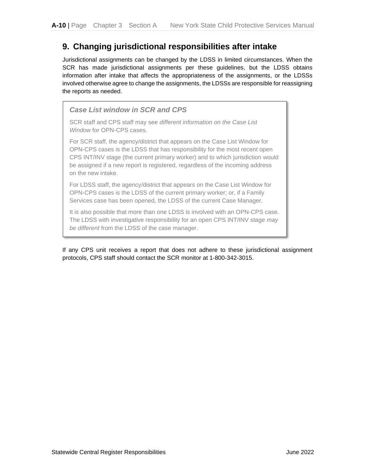### <span id="page-11-0"></span>**9. Changing jurisdictional responsibilities after intake**

Jurisdictional assignments can be changed by the LDSS in limited circumstances. When the SCR has made jurisdictional assignments per these guidelines, but the LDSS obtains information after intake that affects the appropriateness of the assignments, or the LDSSs involved otherwise agree to change the assignments, the LDSSs are responsible for reassigning the reports as needed.



*be different* from the LDSS of the case manager.

If any CPS unit receives a report that does not adhere to these jurisdictional assignment protocols, CPS staff should contact the SCR monitor at 1-800-342-3015.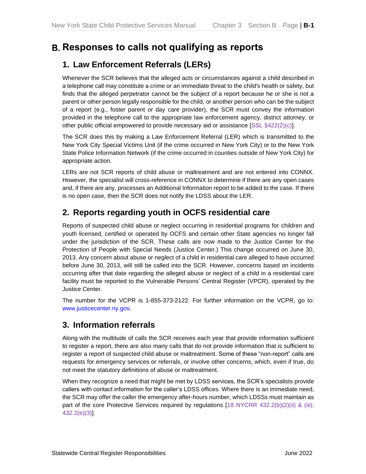## <span id="page-12-0"></span>**Responses to calls not qualifying as reports**

### <span id="page-12-1"></span>**1. Law Enforcement Referrals (LERs)**

Whenever the SCR believes that the alleged acts or circumstances against a child described in a telephone call may constitute a crime or an immediate threat to the child's health or safety, but finds that the alleged perpetrator cannot be the subject of a report because he or she is not a parent or other person legally responsible for the child, or another person who can be the subject of a report (e.g., foster parent or day care provider), the SCR must convey the information provided in the telephone call to the appropriate law enforcement agency, district attorney, or other public official empowered to provide necessary aid or assistance [SSL §422(2)(c)].

The SCR does this by making a Law Enforcement Referral (LER) which is transmitted to the New York City Special Victims Unit (if the crime occurred in New York City) or to the New York State Police Information Network (if the crime occurred in counties outside of New York City) for appropriate action.

LERs are not SCR reports of child abuse or maltreatment and are not entered into CONNX. However, the specialist will cross-reference in CONNX to determine if there are any open cases and, if there are any, processes an Additional Information report to be added to the case. If there is no open case, then the SCR does not notify the LDSS about the LER.

### <span id="page-12-2"></span>**2. Reports regarding youth in OCFS residential care**

Reports of suspected child abuse or neglect occurring in residential programs for children and youth licensed, certified or operated by OCFS and certain other State agencies no longer fall under the jurisdiction of the SCR. These calls are now made to the Justice Center for the Protection of People with Special Needs (Justice Center.) This change occurred on June 30, 2013. Any concern about abuse or neglect of a child in residential care alleged to have occurred before June 30, 2013, will still be called into the SCR. However, concerns based on incidents occurring after that date regarding the alleged abuse or neglect of a child in a residential care facility must be reported to the Vulnerable Persons' Central Register (VPCR), operated by the Justice Center.

The number for the VCPR is 1-855-373-2122. For further information on the VCPR, go to: [www.justicecenter.ny.gov.](http://www.justicecenter.ny.gov/)

### <span id="page-12-3"></span>**3. Information referrals**

Along with the multitude of calls the SCR receives each year that provide information sufficient to register a report, there are also many calls that do not provide information that is sufficient to register a report of suspected child abuse or maltreatment. Some of these "non-report" calls are requests for emergency services or referrals, or involve other concerns, which, even if true, do not meet the statutory definitions of abuse or maltreatment.

When they recognize a need that might be met by LDSS services, the SCR's specialists provide callers with contact information for the caller's LDSS offices. Where there is an immediate need, the SCR may offer the caller the emergency after-hours number, which LDSSs must maintain as part of the core Protective Services required by regulations [18 NYCRR 432.2(b)(2)(ii) & (iii); 432.2(e)(3)].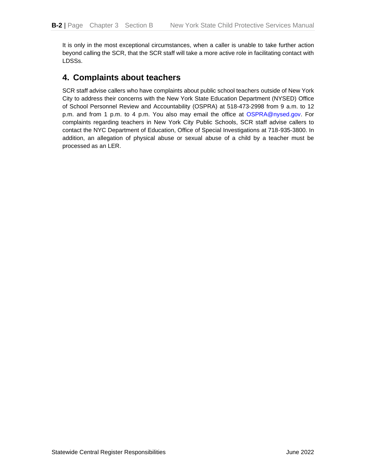It is only in the most exceptional circumstances, when a caller is unable to take further action beyond calling the SCR, that the SCR staff will take a more active role in facilitating contact with LDSSs.

### <span id="page-13-0"></span>**4. Complaints about teachers**

SCR staff advise callers who have complaints about public school teachers outside of New York City to address their concerns with the New York State Education Department (NYSED) Office of School Personnel Review and Accountability (OSPRA) at 518-473-2998 from 9 a.m. to 12 p.m. and from 1 p.m. to 4 p.m. You also may email the office at [OSPRA@nysed.gov.](mailto:OSPRA@nysed.gov) For complaints regarding teachers in New York City Public Schools, SCR staff advise callers to contact the NYC Department of Education, Office of Special Investigations at 718-935-3800. In addition, an allegation of physical abuse or sexual abuse of a child by a teacher must be processed as an LER.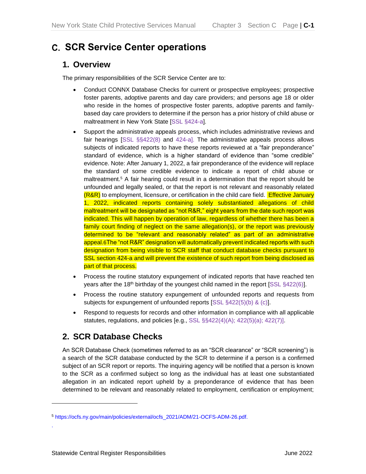## <span id="page-14-0"></span>**SCR Service Center operations**

### <span id="page-14-1"></span>**1. Overview**

The primary responsibilities of the SCR Service Center are to:

- Conduct CONNX Database Checks for current or prospective employees; prospective foster parents, adoptive parents and day care providers; and persons age 18 or older who reside in the homes of prospective foster parents, adoptive parents and familybased day care providers to determine if the person has a prior history of child abuse or maltreatment in New York State [SSL §424-a].
- Support the administrative appeals process, which includes administrative reviews and fair hearings [SSL §§422(8) and 424-a]. The administrative appeals process allows subjects of indicated reports to have these reports reviewed at a "fair preponderance" standard of evidence, which is a higher standard of evidence than "some credible" evidence. Note: After January 1, 2022, a fair preponderance of the evidence will replace the standard of some credible evidence to indicate a report of child abuse or maltreatment. <sup>5</sup> A fair hearing could result in a determination that the report should be unfounded and legally sealed, or that the report is not relevant and reasonably related (R&R) to employment, licensure, or certification in the child care field. Effective January 1, 2022, indicated reports containing solely substantiated allegations of child maltreatment will be designated as "not R&R," eight years from the date such report was indicated. This will happen by operation of law, regardless of whether there has been a family court finding of neglect on the same allegation(s), or the report was previously determined to be "relevant and reasonably related" as part of an administrative appeal.6The "not R&R" designation will automatically prevent indicated reports with such designation from being visible to SCR staff that conduct database checks pursuant to SSL section 424-a and will prevent the existence of such report from being disclosed as part of that process.
- Process the routine statutory expungement of indicated reports that have reached ten years after the 18<sup>th</sup> birthday of the youngest child named in the report [SSL §422(6)].
- Process the routine statutory expungement of unfounded reports and requests from subjects for expungement of unfounded reports [SSL §422(5)(b) & (c)].
- Respond to requests for records and other information in compliance with all applicable statutes, regulations, and policies [e.g., SSL §§422(4)(A); 422(5)(a); 422(7)].

### <span id="page-14-2"></span>**2. SCR Database Checks**

An SCR Database Check (sometimes referred to as an "SCR clearance" or "SCR screening") is a search of the SCR database conducted by the SCR to determine if a person is a confirmed subject of an SCR report or reports. The inquiring agency will be notified that a person is known to the SCR as a confirmed subject so long as the individual has at least one substantiated allegation in an indicated report upheld by a preponderance of evidence that has been determined to be relevant and reasonably related to employment, certification or employment;

.

<sup>5</sup> [https://ocfs.ny.gov/main/policies/external/ocfs\\_2021/ADM/21-OCFS-ADM-26.pdf.](https://ocfs.ny.gov/main/policies/external/ocfs_2021/ADM/21-OCFS-ADM-26.pdf)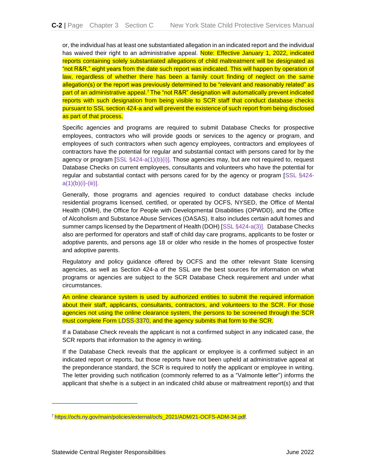or, the individual has at least one substantiated allegation in an indicated report and the individual has waived their right to an administrative appeal. Note: Effective January 1, 2022, indicated reports containing solely substantiated allegations of child maltreatment will be designated as "not R&R," eight years from the date such report was indicated. This will happen by operation of law, regardless of whether there has been a family court finding of neglect on the same allegation(s) or the report was previously determined to be "relevant and reasonably related" as part of an administrative appeal.<sup>7</sup> The "not R&R" designation will automatically prevent indicated reports with such designation from being visible to SCR staff that conduct database checks pursuant to SSL section 424-a and will prevent the existence of such report from being disclosed as part of that process.

Specific agencies and programs are required to submit Database Checks for prospective employees, contractors who will provide goods or services to the agency or program, and employees of such contractors when such agency employees, contractors and employees of contractors have the potential for regular and substantial contact with persons cared for by the agency or program  $[SSL \, §424-a(1)(b)(i)]$ . Those agencies may, but are not required to, request Database Checks on current employees, consultants and volunteers who have the potential for regular and substantial contact with persons cared for by the agency or program [SSL §424  $a(1)(b)(i)-(iii)$ ].

Generally, those programs and agencies required to conduct database checks include residential programs licensed, certified, or operated by OCFS, NYSED, the Office of Mental Health (OMH), the Office for People with Developmental Disabilities (OPWDD), and the Office of Alcoholism and Substance Abuse Services (OASAS). It also includes certain adult homes and summer camps licensed by the Department of Health (DOH) [SSL §424-a(3)]. Database Checks also are performed for operators and staff of child day care programs, applicants to be foster or adoptive parents, and persons age 18 or older who reside in the homes of prospective foster and adoptive parents.

Regulatory and policy guidance offered by OCFS and the other relevant State licensing agencies, as well as Section 424-a of the SSL are the best sources for information on what programs or agencies are subject to the SCR Database Check requirement and under what circumstances.

An online clearance system is used by authorized entities to submit the required information about their staff, applicants, consultants, contractors, and volunteers to the SCR. For those agencies not using the online clearance system, the persons to be screened through the SCR must complete Form LDSS-3370, and the agency submits that form to the SCR.

If a Database Check reveals the applicant is not a confirmed subject in any indicated case, the SCR reports that information to the agency in writing.

If the Database Check reveals that the applicant or employee is a confirmed subject in an indicated report or reports, but those reports have not been upheld at administrative appeal at the preponderance standard, the SCR is required to notify the applicant or employee in writing. The letter providing such notification (commonly referred to as a "Valmonte letter") informs the applicant that she/he is a subject in an indicated child abuse or maltreatment report(s) and that

<sup>7</sup> [https://ocfs.ny.gov/main/policies/external/ocfs\\_2021/ADM/21-OCFS-ADM-34.pdf.](https://ocfs.ny.gov/main/policies/external/ocfs_2021/ADM/21-OCFS-ADM-34.pdf)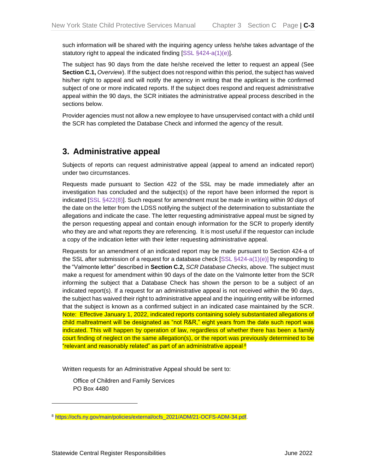such information will be shared with the inquiring agency unless he/she takes advantage of the statutory right to appeal the indicated finding [SSL §424-a(1)(e)].

The subject has 90 days from the date he/she received the letter to request an appeal (See **Section C.1,** *Overview*). If the subject does not respond within this period, the subject has waived his/her right to appeal and will notify the agency in writing that the applicant is the confirmed subject of one or more indicated reports. If the subject does respond and request administrative appeal within the 90 days, the SCR initiates the administrative appeal process described in the sections below.

Provider agencies must not allow a new employee to have unsupervised contact with a child until the SCR has completed the Database Check and informed the agency of the result.

### <span id="page-16-0"></span>**3. Administrative appeal**

Subjects of reports can request administrative appeal (appeal to amend an indicated report) under two circumstances.

Requests made pursuant to Section 422 of the SSL may be made immediately after an investigation has concluded and the subject(s) of the report have been informed the report is indicated [SSL §422(8)]. Such request for amendment must be made in writing within *90 days* of the date on the letter from the LDSS notifying the subject of the determination to substantiate the allegations and indicate the case. The letter requesting administrative appeal must be signed by the person requesting appeal and contain enough information for the SCR to properly identify who they are and what reports they are referencing. It is most useful if the requestor can include a copy of the indication letter with their letter requesting administrative appeal.

Requests for an amendment of an indicated report may be made pursuant to Section 424-a of the SSL after submission of a request for a database check  $[SSL \S424-a(1)(e)]$  by responding to the "Valmonte letter" described in **Section C.2,** *SCR Database Checks,* above. The subject must make a request for amendment within 90 days of the date on the Valmonte letter from the SCR informing the subject that a Database Check has shown the person to be a subject of an indicated report(s). If a request for an administrative appeal is not received within the 90 days, the subject has waived their right to administrative appeal and the inquiring entity will be informed that the subject is known as a confirmed subject in an indicated case maintained by the SCR. Note: Effective January 1, 2022, indicated reports containing solely substantiated allegations of child maltreatment will be designated as "not R&R," eight years from the date such report was indicated. This will happen by operation of law, regardless of whether there has been a family court finding of neglect on the same allegation(s), or the report was previously determined to be "relevant and reasonably related" as part of an administrative appeal.8

Written requests for an Administrative Appeal should be sent to:

Office of Children and Family Services PO Box 4480

<sup>8</sup> [https://ocfs.ny.gov/main/policies/external/ocfs\\_2021/ADM/21-OCFS-ADM-34.pdf.](https://ocfs.ny.gov/main/policies/external/ocfs_2021/ADM/21-OCFS-ADM-34.pdf)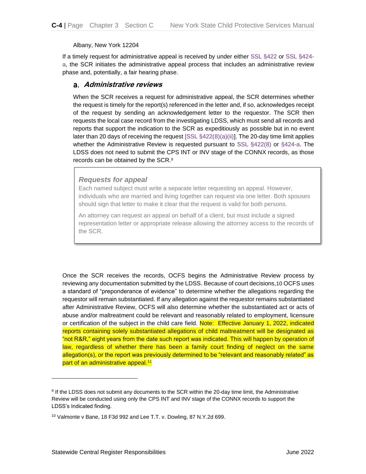Albany, New York 12204

If a timely request for administrative appeal is received by under either SSL §422 or SSL §424 a, the SCR initiates the administrative appeal process that includes an administrative review phase and, potentially, a fair hearing phase.

#### <span id="page-17-0"></span>**Administrative reviews**

When the SCR receives a request for administrative appeal, the SCR determines whether the request is timely for the report(s) referenced in the letter and, if so, acknowledges receipt of the request by sending an acknowledgement letter to the requestor. The SCR then requests the local case record from the investigating LDSS, which must send all records and reports that support the indication to the SCR as expeditiously as possible but in no event later than 20 days of receiving the request  $[SSL \, \S 422(8)(a)(ii)]$ . The 20-day time limit applies whether the Administrative Review is requested pursuant to SSL §422(8) or §424-a. The LDSS does not need to submit the CPS INT or INV stage of the CONNX records, as those records can be obtained by the SCR.<sup>9</sup>

#### *Requests for appeal*

Each named subject must write a separate letter requesting an appeal. However, individuals who are married and living together can request via one letter. Both spouses should sign that letter to make it clear that the request is valid for both persons.

An attorney can request an appeal on behalf of a client, but must include a signed representation letter or appropriate release allowing the attorney access to the records of the SCR.

Once the SCR receives the records, OCFS begins the Administrative Review process by reviewing any documentation submitted by the LDSS. Because of court decisions,10 OCFS uses a standard of "preponderance of evidence" to determine whether the allegations regarding the requestor will remain substantiated. If any allegation against the requestor remains substantiated after Administrative Review, OCFS will also determine whether the substantiated act or acts of abuse and/or maltreatment could be relevant and reasonably related to employment, licensure or certification of the subject in the child care field. Note: Effective January 1, 2022, indicated reports containing solely substantiated allegations of child maltreatment will be designated as "not R&R," eight years from the date such report was indicated. This will happen by operation of law, regardless of whether there has been a family court finding of neglect on the same allegation(s), or the report was previously determined to be "relevant and reasonably related" as part of an administrative appeal.<sup>11</sup>

<sup>9</sup> If the LDSS does not submit any documents to the SCR within the 20-day time limit, the Administrative Review will be conducted using only the CPS INT and INV stage of the CONNX records to support the LDSS's Indicated finding.

<sup>10</sup> Valmonte v Bane, 18 F3d 992 and Lee T.T. v. Dowling, 87 N.Y.2d 699.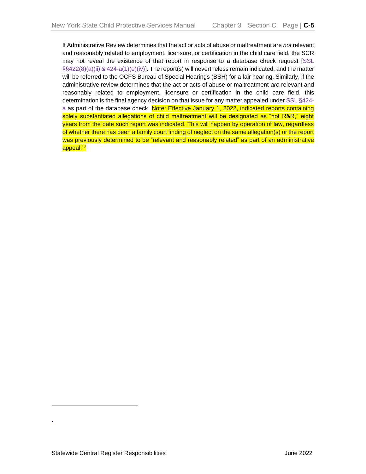If Administrative Review determines that the act or acts of abuse or maltreatment are *not* relevant and reasonably related to employment, licensure, or certification in the child care field, the SCR may not reveal the existence of that report in response to a database check request [SSL §§422(8)(a)(ii) & 424-a(1)(e)(iv)]. The report(s) will nevertheless remain indicated, and the matter will be referred to the OCFS Bureau of Special Hearings (BSH) for a fair hearing. Similarly, if the administrative review determines that the act or acts of abuse or maltreatment *are* relevant and reasonably related to employment, licensure or certification in the child care field, this determination is the final agency decision on that issue for any matter appealed under SSL §424 a as part of the database check. Note: Effective January 1, 2022, indicated reports containing solely substantiated allegations of child maltreatment will be designated as "not R&R," eight years from the date such report was indicated. This will happen by operation of law, regardless of whether there has been a family court finding of neglect on the same allegation(s) or the report was previously determined to be "relevant and reasonably related" as part of an administrative appeal.<sup>12</sup>

.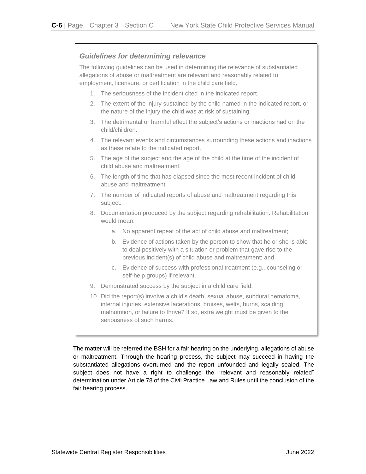#### *Guidelines for determining relevance*

The following guidelines can be used in determining the relevance of substantiated allegations of abuse or maltreatment are relevant and reasonably related to employment, licensure, or certification in the child care field.

- 1. The seriousness of the incident cited in the indicated report.
- 2. The extent of the injury sustained by the child named in the indicated report, or the nature of the injury the child was at risk of sustaining.
- 3. The detrimental or harmful effect the subject's actions or inactions had on the child/children.
- 4. The relevant events and circumstances surrounding these actions and inactions as these relate to the indicated report.
- 5. The age of the subject and the age of the child at the time of the incident of child abuse and maltreatment.
- 6. The length of time that has elapsed since the most recent incident of child abuse and maltreatment.
- 7. The number of indicated reports of abuse and maltreatment regarding this subject.
- 8. Documentation produced by the subject regarding rehabilitation. Rehabilitation would mean:
	- a. No apparent repeat of the act of child abuse and maltreatment;
	- b. Evidence of actions taken by the person to show that he or she is able to deal positively with a situation or problem that gave rise to the previous incident(s) of child abuse and maltreatment; and
	- c. Evidence of success with professional treatment (e.g., counseling or self-help groups) if relevant.
- 9. Demonstrated success by the subject in a child care field.
- 10. Did the report(s) involve a child's death, sexual abuse, subdural hematoma, internal injuries, extensive lacerations, bruises, welts, burns, scalding, malnutrition, or failure to thrive? If so, extra weight must be given to the seriousness of such harms.

The matter will be referred the BSH for a fair hearing on the underlying. allegations of abuse or maltreatment. Through the hearing process, the subject may succeed in having the substantiated allegations overturned and the report unfounded and legally sealed. The subject does not have a right to challenge the "relevant and reasonably related" determination under Article 78 of the Civil Practice Law and Rules until the conclusion of the fair hearing process.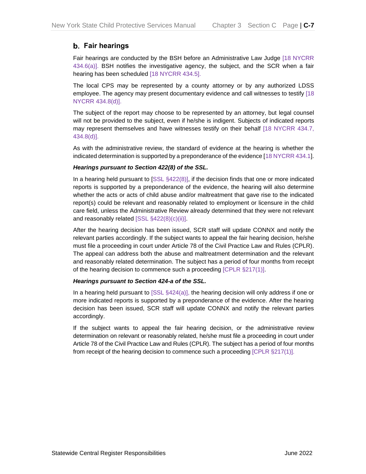#### <span id="page-20-0"></span>**Fair hearings**

Fair hearings are conducted by the BSH before an Administrative Law Judge [18 NYCRR 434.6(a)]. BSH notifies the investigative agency, the subject, and the SCR when a fair hearing has been scheduled [18 NYCRR 434.5].

The local CPS may be represented by a county attorney or by any authorized LDSS employee. The agency may present documentary evidence and call witnesses to testify [18 NYCRR 434.8(d)].

The subject of the report may choose to be represented by an attorney, but legal counsel will not be provided to the subject, even if he/she is indigent. Subjects of indicated reports may represent themselves and have witnesses testify on their behalf [18 NYCRR 434.7, 434.8(d)].

As with the administrative review, the standard of evidence at the hearing is whether the indicated determination is supported by a preponderance of the evidence [18 NYCRR 434.1].

#### *Hearings pursuant to Section 422(8) of the SSL.*

In a hearing held pursuant to [SSL §422(8)], if the decision finds that one or more indicated reports is supported by a preponderance of the evidence, the hearing will also determine whether the acts or acts of child abuse and/or maltreatment that gave rise to the indicated report(s) could be relevant and reasonably related to employment or licensure in the child care field, unless the Administrative Review already determined that they were not relevant and reasonably related [SSL §422(8)(c)(ii)].

After the hearing decision has been issued, SCR staff will update CONNX and notify the relevant parties accordingly. If the subject wants to appeal the fair hearing decision, he/she must file a proceeding in court under Article 78 of the Civil Practice Law and Rules (CPLR). The appeal can address both the abuse and maltreatment determination and the relevant and reasonably related determination. The subject has a period of four months from receipt of the hearing decision to commence such a proceeding [CPLR §217(1)].

#### *Hearings pursuant to Section 424-a of the SSL.*

In a hearing held pursuant to  $[SSL §424(a)],$  the hearing decision will only address if one or more indicated reports is supported by a preponderance of the evidence. After the hearing decision has been issued, SCR staff will update CONNX and notify the relevant parties accordingly.

If the subject wants to appeal the fair hearing decision, or the administrative review determination on relevant or reasonably related, he/she must file a proceeding in court under Article 78 of the Civil Practice Law and Rules (CPLR). The subject has a period of four months from receipt of the hearing decision to commence such a proceeding [CPLR §217(1)].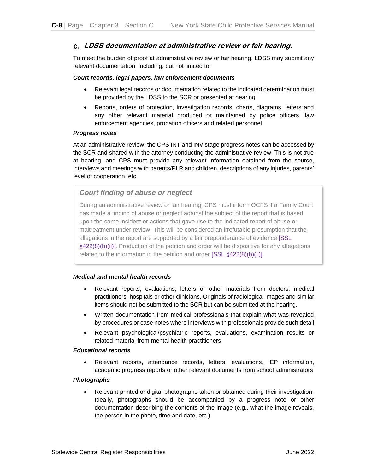#### <span id="page-21-0"></span>**LDSS documentation at administrative review or fair hearing.**

To meet the burden of proof at administrative review or fair hearing, LDSS may submit any relevant documentation, including, but not limited to:

#### *Court records, legal papers, law enforcement documents*

- Relevant legal records or documentation related to the indicated determination must be provided by the LDSS to the SCR or presented at hearing
- Reports, orders of protection, investigation records, charts, diagrams, letters and any other relevant material produced or maintained by police officers, law enforcement agencies, probation officers and related personnel

#### *Progress notes*

At an administrative review, the CPS INT and INV stage progress notes can be accessed by the SCR and shared with the attorney conducting the administrative review. This is not true at hearing, and CPS must provide any relevant information obtained from the source, interviews and meetings with parents/PLR and children, descriptions of any injuries, parents' level of cooperation, etc.

#### *Court finding of abuse or neglect*

During an administrative review or fair hearing, CPS must inform OCFS if a Family Court has made a finding of abuse or neglect against the subject of the report that is based upon the same incident or actions that gave rise to the indicated report of abuse or maltreatment under review. This will be considered an irrefutable presumption that the allegations in the report are supported by a fair preponderance of evidence [SSL §422(8)(b)(ii)]. Production of the petition and order will be dispositive for any allegations related to the information in the petition and order [SSL §422(8)(b)(ii)].

#### *Medical and mental health records*

- Relevant reports, evaluations, letters or other materials from doctors, medical practitioners, hospitals or other clinicians. Originals of radiological images and similar items should not be submitted to the SCR but can be submitted at the hearing.
- Written documentation from medical professionals that explain what was revealed by procedures or case notes where interviews with professionals provide such detail
- Relevant psychological/psychiatric reports, evaluations, examination results or related material from mental health practitioners

#### *Educational records*

• Relevant reports, attendance records, letters, evaluations, IEP information, academic progress reports or other relevant documents from school administrators

#### *Photographs*

• Relevant printed or digital photographs taken or obtained during their investigation. Ideally, photographs should be accompanied by a progress note or other documentation describing the contents of the image (e.g., what the image reveals, the person in the photo, time and date, etc.).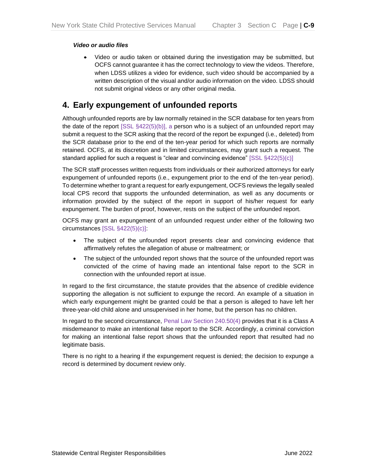#### *Video or audio files*

• Video or audio taken or obtained during the investigation may be submitted, but OCFS cannot guarantee it has the correct technology to view the videos. Therefore, when LDSS utilizes a video for evidence, such video should be accompanied by a written description of the visual and/or audio information on the video. LDSS should not submit original videos or any other original media.

### <span id="page-22-0"></span>**4. Early expungement of unfounded reports**

Although unfounded reports are by law normally retained in the SCR database for ten years from the date of the report  $[SSL \S422(5)(b)]$ , a person who is a subject of an unfounded report may submit a request to the SCR asking that the record of the report be expunged (i.e., deleted) from the SCR database prior to the end of the ten-year period for which such reports are normally retained. OCFS, at its discretion and in limited circumstances, may grant such a request. The standard applied for such a request is "clear and convincing evidence" [SSL §422(5)(c)]

The SCR staff processes written requests from individuals or their authorized attorneys for early expungement of unfounded reports (i.e., expungement prior to the end of the ten-year period). To determine whether to grant a request for early expungement, OCFS reviews the legally sealed local CPS record that supports the unfounded determination, as well as any documents or information provided by the subject of the report in support of his/her request for early expungement. The burden of proof, however, rests on the subject of the unfounded report.

OCFS may grant an expungement of an unfounded request under either of the following two circumstances [SSL §422(5)(c)]:

- The subject of the unfounded report presents clear and convincing evidence that affirmatively refutes the allegation of abuse or maltreatment; or
- The subject of the unfounded report shows that the source of the unfounded report was convicted of the crime of having made an intentional false report to the SCR in connection with the unfounded report at issue.

In regard to the first circumstance, the statute provides that the absence of credible evidence supporting the allegation is not sufficient to expunge the record. An example of a situation in which early expungement might be granted could be that a person is alleged to have left her three-year-old child alone and unsupervised in her home, but the person has no children.

In regard to the second circumstance, Penal Law Section 240.50(4) provides that it is a Class A misdemeanor to make an intentional false report to the SCR. Accordingly, a criminal conviction for making an intentional false report shows that the unfounded report that resulted had no legitimate basis.

There is no right to a hearing if the expungement request is denied; the decision to expunge a record is determined by document review only.